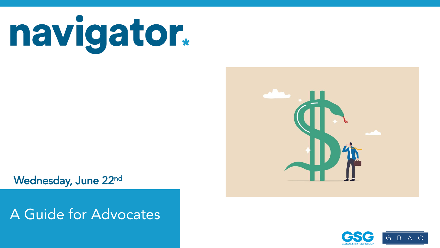

Wednesday, June 22nd

### Nationwide surveys of registered voters; Each wave represents approximately 1,000 interviews taken over the prior three-five days. A Guide for Advocates

Latest wave conducted June 9-June 13, 2022. For more info, visit navigatorresearch.org



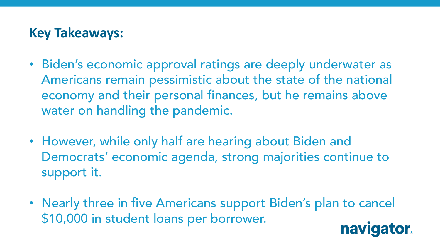## **Key Takeaways:**

- Biden's economic approval ratings are deeply underwater as Americans remain pessimistic about the state of the national economy and their personal finances, but he remains above water on handling the pandemic.
- However, while only half are hearing about Biden and Democrats' economic agenda, strong majorities continue to support it.
- Nearly three in five Americans support Biden's plan to cancel \$10,000 in student loans per borrower. navigator.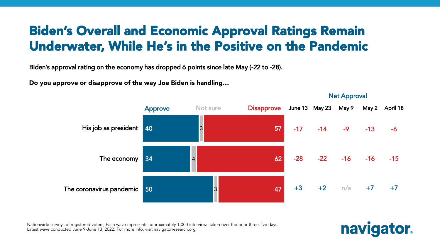# Biden's Overall and Economic Approval Ratings Remain Underwater, While He's in the Positive on the Pandemic

Biden's approval rating on the economy has dropped 6 points since late May (-22 to -28).

Do you approve or disapprove of the way Joe Biden is handling…

40 34 50 3 4 3 57 62 47 His job as president The economy The coronavirus pandemic **Approve** Not sure **Disapprove** June 13 May 23 May 9 May 2 April 18  $-17$   $-14$   $-9$   $-13$   $-6$ -28 -22 -16 -16 -15 +3 +2 *n/a* +7 +7

Nationwide surveys of registered voters; Each wave represents approximately 1,000 interviews taken over the prior three-five days. Latest wave conducted June 9-June 13, 2022. For more info, visit navigatorresearch.org



Net Approval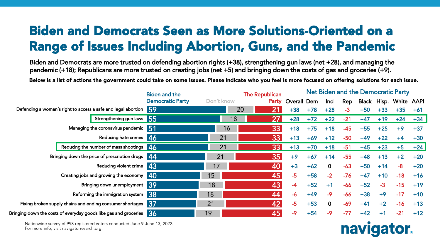# Biden and Democrats Seen as More Solutions-Oriented on a Range of Issues Including Abortion, Guns, and the Pandemic

Biden and Democrats are more trusted on defending abortion rights (+38), strengthening gun laws (net +28), and managing the pandemic (+18); Republicans are more trusted on creating jobs (net +5) and bringing down the costs of gas and groceries (+9).

Below is a list of actions the government could take on some issues. Please indicate who you feel is more focused on offering solutions for each issue.

|                                                                          | <b>Biden and the</b>    |            | <b>The Republican</b> |             |             |       |       |       | <b>Net Biden and the Democratic Party</b> |       |
|--------------------------------------------------------------------------|-------------------------|------------|-----------------------|-------------|-------------|-------|-------|-------|-------------------------------------------|-------|
|                                                                          | <b>Democratic Party</b> | Don't know | Party                 | Overall Dem | Ind         | Rep   |       |       | Black Hisp. White AAPI                    |       |
| Defending a woman's right to access a safe and legal abortion 59         |                         | 20         | 21<br>$+38$           | $+78$       | $+28$       | $-3$  | $+50$ | $+33$ | $+35$                                     | $+61$ |
| Strengthening gun laws 55                                                |                         | 18         | 27<br>$+28$           | $+72$       | $+22$       | $-21$ | $+47$ | $+19$ | $+24$                                     | $+34$ |
| Managing the coronavirus pandemic 51                                     |                         | 16         | 33<br>$+18$           | $+75$       | $+18$       | $-45$ | $+55$ | $+25$ | $+9$                                      | $+37$ |
| Reducing hate crimes 46                                                  |                         | 21         | 33<br>$+13$           | $+69$       | $+12$       | $-50$ | $+49$ | $+22$ | $+4$                                      | $+30$ |
| Reducing the number of mass shootings 46                                 |                         | 21         | 33<br>$+13$           | $+70$       | $+18$       | $-51$ | $+45$ | $+23$ | $+5$                                      | $+24$ |
| Bringing down the price of prescription drugs   44                       |                         | 21         | 35<br>$+9$            | $+67$       | $+14$       | $-55$ | $+48$ | $+13$ | $+2$                                      | $+20$ |
| Reducing violent crime 43                                                |                         | 17         | 40<br>$+3$            | $+62$       | $\mathbf 0$ | $-63$ | $+50$ | $+14$ | $-8$                                      | $+20$ |
| Creating jobs and growing the economy 40                                 |                         | 15         | 45<br>$-5$            | $+58$       | $-2$        | $-76$ | $+47$ | $+10$ | $-18$                                     | $+16$ |
| Bringing down unemployment 39                                            |                         | 18         | 43<br>-4              | $+52$       | $+1$        | $-66$ | $+52$ | $-3$  | $-15$                                     | $+19$ |
| Reforming the immigration system 38                                      |                         | 18         | 44<br>$-6$            | $+49$       | $-9$        | -66   | $+38$ | $+9$  | $-17$                                     | $+10$ |
| Fixing broken supply chains and ending consumer shortages 37             |                         | 21         | 42<br>$-5$            | $+53$       | $\mathbf 0$ | $-69$ | $+41$ | $+2$  | $-16$                                     | $+13$ |
| Bringing down the costs of everyday goods like gas and groceries $\,$ 36 |                         | 19         | 45<br>$-9$            | $+54$       | $-9$        | $-77$ | $+42$ | $+1$  | $-21$                                     | $+12$ |

Nationwide survey of 998 registered voters conducted June 9-June 13, 2022.<br>— For more info, visit navigatorresarch.org.

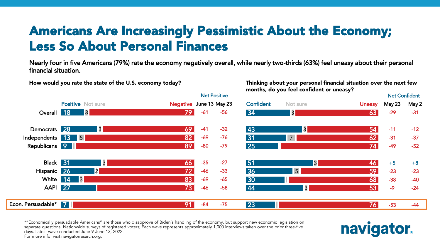# Americans Are Increasingly Pessimistic About the Economy; Less So About Personal Finances

Net Positive

Nearly four in five Americans (79%) rate the economy negatively overall, while nearly two-thirds (63%) feel uneasy about their personal financial situation.

How would you rate the state of the U.S. economy today?

Thinking about your personal financial situation over the next few months, do you feel confident or uneasy?

|                      |                          |                 |                         |       | <b>Net Positive</b> |                  |                |               | <b>Net Confident</b> |       |
|----------------------|--------------------------|-----------------|-------------------------|-------|---------------------|------------------|----------------|---------------|----------------------|-------|
|                      | <b>Positive Not sure</b> |                 | Negative June 13 May 23 |       |                     | <b>Confident</b> | Not sure       | <b>Uneasy</b> | May 23               | May 2 |
| Overall 18           |                          | 3               | 79                      | $-61$ | -56                 | 34               | 3              | 63            | $-29$                | $-31$ |
| Democrats 28         |                          | $\vert 3 \vert$ | 69                      | $-41$ | $-32$               | 43               | 3              | 54            | $-11$                | $-12$ |
| Independents 13 5    |                          |                 | 82                      | $-69$ | $-76$               | 31               | $7^{\circ}$    | 62            | $-31$                | $-37$ |
| Republicans 9        |                          |                 | 89                      | $-80$ | $-79$               | $\overline{25}$  |                | 74            | $-49$                | $-52$ |
| Black 31             |                          | 3               | 66                      | $-35$ | $-27$               | 51               | 3              | 46            | $+5$                 | $+8$  |
| Hispanic 26          |                          | 2               | 72                      | $-46$ | $-33$               | 36               | 5 <sup>1</sup> | 59            | $-23$                | $-23$ |
|                      | White 14 3               |                 | 83                      | $-69$ | $-65$               | 30               |                | 68            | $-38$                | $-40$ |
| <b>AAPI</b> 27       |                          |                 | 73                      | $-46$ | $-58$               | 44               | 3              | 53            | $-9$                 | $-24$ |
| Econ. Persuadable* 7 |                          |                 | 91                      | $-84$ | $-75$               | 23               |                | 76            | $-53$                | $-44$ |

Nationwide surveys of registered voters; Each wave represents approximately 1,000 interviews taken over the prior three-five days. The prior three-five days taken over the prior three-five days. The prior three-five days. separate questions. Nationwide surveys of registered voters; Each wave represents approximately 1,000 interviews taken over the prior three-five<br>dave Jatest wave conducted June 8, June 12, 2022 \*"Economically persuadable Americans" are those who disapprove of Biden's handling of the economy, but support new economic legislation on days. Latest wave conducted June 9-June 13, 2022. For more info, visit navigatorresarch.org.

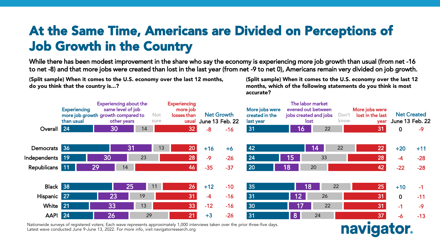# At the Same Time, Americans are Divided on Perceptions of Job Growth in the Country

While there has been modest improvement in the share who say the economy is experiencing more job growth than usual (from net -16 to net -8) and that more jobs were created than lost in the last year (from net -9 to net 0), Americans remain very divided on job growth.

(Split sample) When it comes to the U.S. economy over the last 12 months, do you think that the country is...?

(Split sample) When it comes to the U.S. economy over the last 12 months, which of the following statements do you think is most accurate?

navigator.

|                    | <b>Experiencing</b><br>more job growth growth compared to<br>than usual |    | <b>Experiencing about the</b><br>same level of job<br>other years | <b>Not</b><br>sure | <b>Experiencing</b><br>more job<br>losses than<br>usual |       | <b>Net Growth</b><br>June 13 Feb. 22 | More jobs were<br>created in the<br>last year |                 | The labor market<br>evened out between<br>jobs created and jobs<br>lost | Don't<br>know | More jobs were<br>lost in the last<br>year | <b>Net Created</b><br>June 13 Feb. 22 |       |
|--------------------|-------------------------------------------------------------------------|----|-------------------------------------------------------------------|--------------------|---------------------------------------------------------|-------|--------------------------------------|-----------------------------------------------|-----------------|-------------------------------------------------------------------------|---------------|--------------------------------------------|---------------------------------------|-------|
| Overall 24         |                                                                         | 30 | 14                                                                |                    | 32                                                      | $-8$  | $-16$                                | 31                                            | $\overline{16}$ | 22                                                                      |               | 31                                         | $\mathbf 0$                           | $-9$  |
| Democrats 36       |                                                                         |    | 31                                                                | 13                 | 20                                                      | $+16$ | $+6$                                 | 42                                            |                 | $\sqrt{14}$                                                             | 22            | 22                                         | $+20$                                 | $+11$ |
| Independents 19    |                                                                         | 30 | 23                                                                |                    | 28                                                      | $-9$  | $-26$                                | 24                                            | 15              | 33                                                                      |               | 28                                         | $-4$                                  | $-28$ |
| Republicans 11     |                                                                         | 29 | 14                                                                |                    | 46                                                      | $-35$ | $-37$                                | 20                                            | $\overline{18}$ | 20                                                                      |               | 42                                         | $-22$                                 | $-28$ |
|                    |                                                                         |    |                                                                   |                    |                                                         |       |                                      |                                               |                 |                                                                         |               |                                            |                                       |       |
| Black 38           |                                                                         |    | 25                                                                | 11                 | 26                                                      | $+12$ | $-10$                                | 35                                            |                 | $\overline{18}$                                                         | 22            | 25                                         | $+10$                                 | $-1$  |
| Hispanic 27        |                                                                         | 23 | 19                                                                |                    | 31                                                      | $-4$  | $-16$                                | 31                                            | 12 <sub>2</sub> | 26                                                                      |               | 31                                         | $\mathbf 0$                           | $-11$ |
| White 21           |                                                                         | 33 | 13                                                                |                    | 33                                                      | $-12$ | $-16$                                | 30                                            | 17              | 22                                                                      |               | 31                                         | $-1$                                  | $-9$  |
| AAPI <sup>24</sup> |                                                                         | 26 | 29                                                                |                    | 21                                                      | $+3$  | $-26$                                | 31                                            | 8 <sup>1</sup>  | 24                                                                      |               | 37                                         | -6                                    | $-13$ |

Nationwide surveys of registered voters; Each wave represents approximately 1,000 interviews taken over the prior three-five days. Latest wave conducted June 9-June 13, 2022. For more info, visit navigatorresearch.org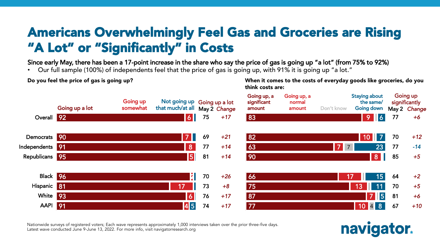# Americans Overwhelmingly Feel Gas and Groceries are Rising "A Lot" or "Significantly" in Costs

Since early May, there has been a 17-point increase in the share who say the price of gas is going up "a lot" (from 75% to 92%)

• Our full sample (100%) of independents feel that the price of gas is going up, with 91% it is going up "a lot."

Do you feel the price of gas is going up?

When it comes to the costs of everyday goods like groceries, do you think costs are:



Nationwide surveys of registered voters; Each wave represents approximately 1,000 interviews taken over the prior three-five days. Latest wave conducted June 9-June 13, 2022. For more info, visit navigatorresearch.org

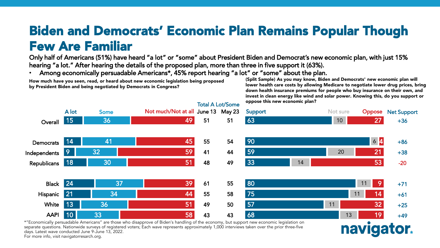## Biden and Democrats' Economic Plan Remains Popular Though Few Are Familiar

Only half of Americans (51%) have heard "a lot" or "some" about President Biden and Democrat's new economic plan, with just 15% hearing "a lot." After hearing the details of the proposed plan, more than three in five support it (63%).

• Among economically persuadable Americans\*, 45% report hearing "a lot" or "some" about the plan.

How much have you seen, read, or heard about new economic legislation being proposed by President Biden and being negotiated by Democrats in Congress?

(Split Sample) As you may know, Biden and Democrats' new economic plan will lower health care costs by allowing Medicare to negotiate lower drug prices, bring down health insurance premiums for people who buy insurance on their own, and invest in clean energy like wind and solar power. Knowing this, do you support or oppose this new economic plan?



Nationwide surveys of registered voters; Each wave our construction interviews of registered voters; Each wave represents approximately 1,000 intensive taken over the prior three-five days. separate questions. Nationwide surveys of registered voters; Each wave represents approximately 1,000 interviews taken over the prior three-five<br>dave Jatest wave conducted June 8, June 12, 2022 days. Latest wave conducted June 9-June 13, 2022. For more info, visit navigatorresarch.org.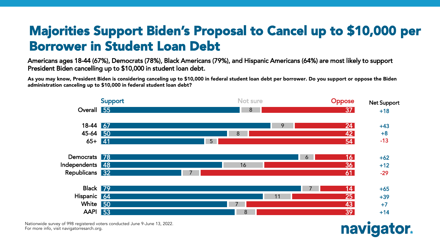# Majorities Support Biden's Proposal to Cancel up to \$10,000 per Borrower in Student Loan Debt

Americans ages 18-44 (67%), Democrats (78%), Black Americans (79%), and Hispanic Americans (64%) are most likely to support President Biden cancelling up to \$10,000 in student loan debt.

As you may know, President Biden is considering canceling up to \$10,000 in federal student loan debt per borrower. Do you support or oppose the Biden administration canceling up to \$10,000 in federal student loan debt?



Nationwide survey of 998 registered voters conducted June 9-June 13, 2022.<br>— For more info, visit navigatorresarch.org.

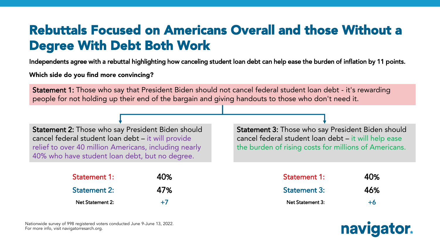# Rebuttals Focused on Americans Overall and those Without a Degree With Debt Both Work

Independents agree with a rebuttal highlighting how canceling student loan debt can help ease the burden of inflation by 11 points.

Which side do you find more convincing?

Statement 1: Those who say that President Biden should not cancel federal student loan debt - it's rewarding people for not holding up their end of the bargain and giving handouts to those who don't need it.

Statement 2: Those who say President Biden should cancel federal student loan debt – it will provide relief to over 40 million Americans, including nearly 40% who have student loan debt, but no degree.

| <b>Statement 1:</b>     | 40%  |
|-------------------------|------|
| <b>Statement 2:</b>     | 47%  |
| <b>Net Statement 2:</b> | $+7$ |

Statement 3: Those who say President Biden should cancel federal student loan debt – it will help ease the burden of rising costs for millions of Americans.

| <b>Statement 1:</b>     | 40%  |
|-------------------------|------|
| <b>Statement 3:</b>     | 46%  |
| <b>Net Statement 3:</b> | $+6$ |



Nationwide survey of 998 registered voters conducted June 9-June 13, 2022.<br>— For more info, visit navigatorresarch.org.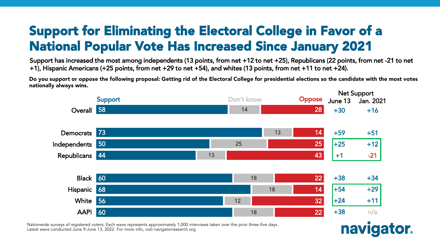# Support for Eliminating the Electoral College in Favor of a National Popular Vote Has Increased Since January 2021

Support has increased the most among independents (13 points, from net +12 to net +25), Republicans (22 points, from net -21 to net +1), Hispanic Americans (+25 points, from net +29 to net +54), and whites (13 points, from net +11 to net +24).

Do you support or oppose the following proposal: Getting rid of the Electoral College for presidential elections so the candidate with the most votes nationally always wins.



Nationwide surveys of registered voters; Each wave represents approximately 1,000 interviews taken over the prior three-five days. Latest wave conducted June 9-June 13, 2022. For more info, visit navigatorresearch.org